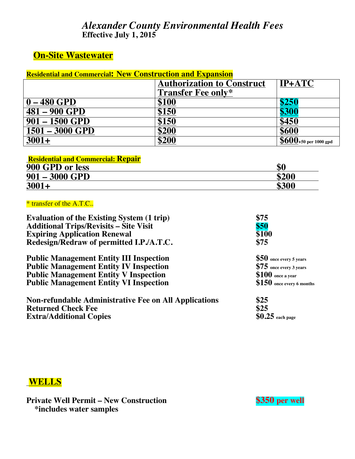## *Alexander County Environmental Health Fees***Effective July 1, 2015**

# **On-Site Wastewater**

| <b>Residential and Commercial: New Construction and Expansion</b> |                                   |                                    |
|-------------------------------------------------------------------|-----------------------------------|------------------------------------|
|                                                                   | <b>Authorization to Construct</b> | <b>IP+ATC</b>                      |
|                                                                   | <b>Transfer Fee only*</b>         |                                    |
| $0 - 480$ GPD                                                     | \$100                             | \$250                              |
| 481 - 900 GPD                                                     | \$150                             | \$300                              |
| $901 - 1500$ GPD                                                  | \$150                             | \$450                              |
| $1501 - 3000$ GPD                                                 | \$200                             | \$600                              |
| $3001+$                                                           | \$200                             | $\overline{8600}$ +50 per 1000 gpd |

| <b>Residential and Commercial: Repair</b> |  |
|-------------------------------------------|--|
|                                           |  |

| 900 GPD or less  | \$0   |
|------------------|-------|
| $901 - 3000$ GPD | \$200 |
| $3001+$          | \$300 |

#### \* transfer of the A.T.C..

| <b>Evaluation of the Existing System (1 trip)</b>            | \$75                       |
|--------------------------------------------------------------|----------------------------|
| <b>Additional Trips/Revisits – Site Visit</b>                | \$50                       |
| <b>Expiring Application Renewal</b>                          | \$100                      |
| Redesign/Redraw of permitted I.P./A.T.C.                     | \$75                       |
| <b>Public Management Entity III Inspection</b>               | \$50 once every 5 years    |
| <b>Public Management Entity IV Inspection</b>                | $$75$ once every 3 years   |
| <b>Public Management Entity V Inspection</b>                 | $$100$ once a year         |
| <b>Public Management Entity VI Inspection</b>                | $$150$ once every 6 months |
| <b>Non-refundable Administrative Fee on All Applications</b> | \$25                       |
| <b>Returned Check Fee</b>                                    | \$25                       |
| <b>Extra/Additional Copies</b>                               | $$0.25$ each page          |

## **WELLS**

**Private Well Permit – New Construction \$350 per well \*includes water samples**

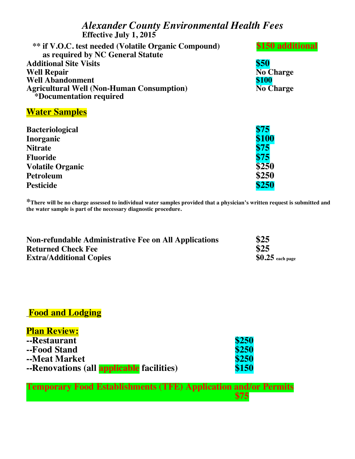## *Alexander County Environmental Health Fees***Effective July 1, 2015**

| <b>** if V.O.C.</b> test needed (Volatile Organic Compound) | \$150 additional |
|-------------------------------------------------------------|------------------|
| as required by NC General Statute                           |                  |
| <b>Additional Site Visits</b>                               | \$50             |
| <b>Well Repair</b>                                          | <b>No Charge</b> |
| <b>Well Abandonment</b>                                     | \$100            |
| <b>Agricultural Well (Non-Human Consumption)</b>            | <b>No Charge</b> |
| *Documentation required                                     |                  |
|                                                             |                  |

#### **Water Samples**

| <b>Bacteriological</b>  | \$75  |
|-------------------------|-------|
| Inorganic               | \$100 |
| <b>Nitrate</b>          | \$75  |
| <b>Fluoride</b>         | \$75  |
| <b>Volatile Organic</b> | \$250 |
| <b>Petroleum</b>        | \$250 |
| <b>Pesticide</b>        | \$250 |

**\*There will be no charge assessed to individual water samples provided that a physician's written request is submitted and the water sample is part of the necessary diagnostic procedure.**

| <b>Non-refundable Administrative Fee on All Applications</b> | \$25              |
|--------------------------------------------------------------|-------------------|
| <b>Returned Check Fee</b>                                    | \$25              |
| <b>Extra/Additional Copies</b>                               | $$0.25$ each page |

## **Food and Lodging**

| <b>Plan Review:</b>                              |       |
|--------------------------------------------------|-------|
| --Restaurant                                     | \$250 |
| --Food Stand                                     | \$250 |
| --Meat Market                                    | \$250 |
| --Renovations (all <b>applicable</b> facilities) | \$150 |

**Temporary Food Establishments (TFE) Application and/or Permits \$75 \$75**